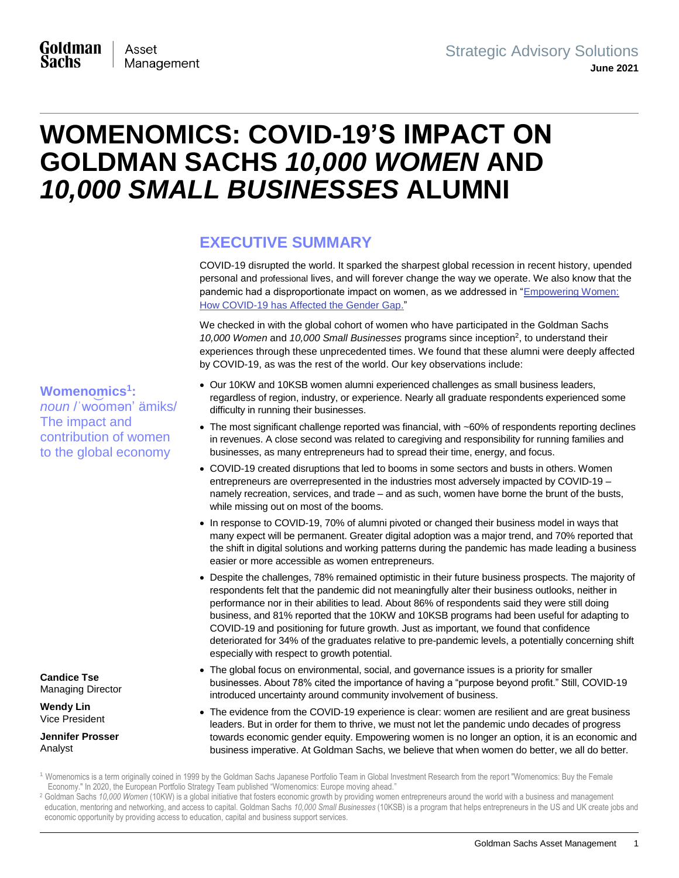# **WOMENOMICS: COVID-19'S IMPACT ON GOLDMAN SACHS** *10,000 WOMEN* **AND**  *10,000 SMALL BUSINESSES* **ALUMNI**

# **EXECUTIVE SUMMARY**

COVID-19 disrupted the world. It sparked the sharpest global recession in recent history, upended personal and professional lives, and will forever change the way we operate. We also know that the pandemic had a disproportionate impact on women, as we addressed in ["Empowering Women:](https://www.gsam.com/content/dam/gsam/pdfs/common/en/public/articles/2021/Empowering-Women-How-COVID-19-has-Affected-the-Gender-Gap.pdf?sa=n&rd=n)  [How COVID-19 has Affected the Gender Gap.](https://www.gsam.com/content/dam/gsam/pdfs/common/en/public/articles/2021/Empowering-Women-How-COVID-19-has-Affected-the-Gender-Gap.pdf?sa=n&rd=n)"

We checked in with the global cohort of women who have participated in the Goldman Sachs 10,000 Women and 10,000 Small Businesses programs since inception<sup>2</sup>, to understand their experiences through these unprecedented times. We found that these alumni were deeply affected by COVID-19, as was the rest of the world. Our key observations include:

# **Womenomics<sup>1</sup> :**

*noun* /ˈwo͝omən' ämiks/ The impact and contribution of women to the global economy

**Candice Tse** Managing Director

**Wendy Lin** Vice President

**Jennifer Prosser** Analyst

- Our 10KW and 10KSB women alumni experienced challenges as small business leaders, regardless of region, industry, or experience. Nearly all graduate respondents experienced some difficulty in running their businesses.
- The most significant challenge reported was financial, with ~60% of respondents reporting declines in revenues. A close second was related to caregiving and responsibility for running families and businesses, as many entrepreneurs had to spread their time, energy, and focus.
- COVID-19 created disruptions that led to booms in some sectors and busts in others. Women entrepreneurs are overrepresented in the industries most adversely impacted by COVID-19 – namely recreation, services, and trade – and as such, women have borne the brunt of the busts, while missing out on most of the booms.
- In response to COVID-19, 70% of alumni pivoted or changed their business model in ways that many expect will be permanent. Greater digital adoption was a major trend, and 70% reported that the shift in digital solutions and working patterns during the pandemic has made leading a business easier or more accessible as women entrepreneurs.
- Despite the challenges, 78% remained optimistic in their future business prospects. The majority of respondents felt that the pandemic did not meaningfully alter their business outlooks, neither in performance nor in their abilities to lead. About 86% of respondents said they were still doing business, and 81% reported that the 10KW and 10KSB programs had been useful for adapting to COVID-19 and positioning for future growth. Just as important, we found that confidence deteriorated for 34% of the graduates relative to pre-pandemic levels, a potentially concerning shift especially with respect to growth potential.
- The global focus on environmental, social, and governance issues is a priority for smaller businesses. About 78% cited the importance of having a "purpose beyond profit." Still, COVID-19 introduced uncertainty around community involvement of business.
- The evidence from the COVID-19 experience is clear: women are resilient and are great business leaders. But in order for them to thrive, we must not let the pandemic undo decades of progress towards economic gender equity. Empowering women is no longer an option, it is an economic and business imperative. At Goldman Sachs, we believe that when women do better, we all do better.

<sup>1</sup> Womenomics is a term originally coined in 1999 by the Goldman Sachs Japanese Portfolio Team in Global Investment Research from the report "Womenomics: Buy the Female Economy." In 2020, the European Portfolio Strategy Team published "Womenomics: Europe moving ahead."

<sup>&</sup>lt;sup>2</sup> Goldman Sachs 10,000 Women (10KW) is a global initiative that fosters economic growth by providing women entrepreneurs around the world with a business and management education, mentoring and networking, and access to capital. Goldman Sachs *10,000 Small Businesses* (10KSB) is a program that helps entrepreneurs in the US and UK create jobs and economic opportunity by providing access to education, capital and business support services.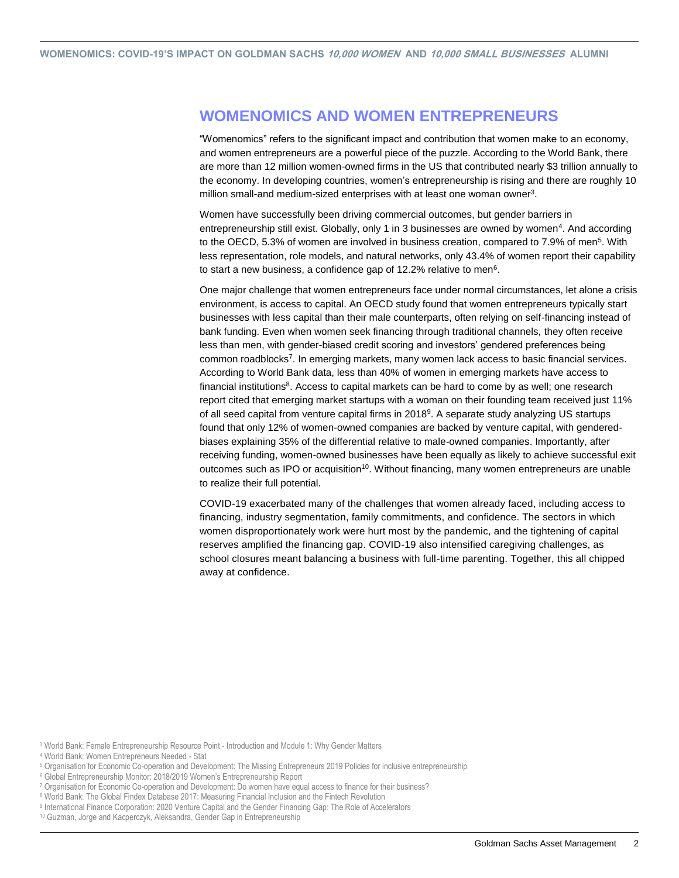# **WOMENOMICS AND WOMEN ENTREPRENEURS**

"Womenomics" refers to the significant impact and contribution that women make to an economy, and women entrepreneurs are a powerful piece of the puzzle. According to the World Bank, there are more than 12 million women-owned firms in the US that contributed nearly \$3 trillion annually to the economy. In developing countries, women's entrepreneurship is rising and there are roughly 10 million small-and medium-sized enterprises with at least one woman owner<sup>3</sup>.

Women have successfully been driving commercial outcomes, but gender barriers in entrepreneurship still exist. Globally, only 1 in 3 businesses are owned by women<sup>4</sup>. And according to the OECD, 5.3% of women are involved in business creation, compared to 7.9% of men<sup>5</sup>. With less representation, role models, and natural networks, only 43.4% of women report their capability to start a new business, a confidence gap of 12.2% relative to men<sup>6</sup>.

One major challenge that women entrepreneurs face under normal circumstances, let alone a crisis environment, is access to capital. An OECD study found that women entrepreneurs typically start businesses with less capital than their male counterparts, often relying on self-financing instead of bank funding. Even when women seek financing through traditional channels, they often receive less than men, with gender-biased credit scoring and investors' gendered preferences being common roadblocks<sup>7</sup>. In emerging markets, many women lack access to basic financial services. According to World Bank data, less than 40% of women in emerging markets have access to financial institutions<sup>8</sup>. Access to capital markets can be hard to come by as well; one research report cited that emerging market startups with a woman on their founding team received just 11% of all seed capital from venture capital firms in 2018<sup>9</sup>. A separate study analyzing US startups found that only 12% of women-owned companies are backed by venture capital, with genderedbiases explaining 35% of the differential relative to male-owned companies. Importantly, after receiving funding, women-owned businesses have been equally as likely to achieve successful exit outcomes such as IPO or acquisition<sup>10</sup>. Without financing, many women entrepreneurs are unable to realize their full potential.

COVID-19 exacerbated many of the challenges that women already faced, including access to financing, industry segmentation, family commitments, and confidence. The sectors in which women disproportionately work were hurt most by the pandemic, and the tightening of capital reserves amplified the financing gap. COVID-19 also intensified caregiving challenges, as school closures meant balancing a business with full-time parenting. Together, this all chipped away at confidence.

<sup>3</sup> World Bank: Female Entrepreneurship Resource Point - Introduction and Module 1: Why Gender Matters

<sup>4</sup> World Bank: Women Entrepreneurs Needed - Stat

<sup>5</sup> Organisation for Economic Co-operation and Development: The Missing Entrepreneurs 2019 Policies for inclusive entrepreneurship

<sup>6</sup> Global Entrepreneurship Monitor: 2018/2019 Women's Entrepreneurship Report

<sup>8</sup> World Bank: The Global Findex Database 2017: Measuring Financial Inclusion and the Fintech Revolution

<sup>10</sup> Guzman, Jorge and Kacperczyk, Aleksandra, Gender Gap in Entrepreneurship

<sup>7</sup> Organisation for Economic Co-operation and Development: Do women have equal access to finance for their business?

<sup>9</sup> International Finance Corporation: 2020 Venture Capital and the Gender Financing Gap: The Role of Accelerators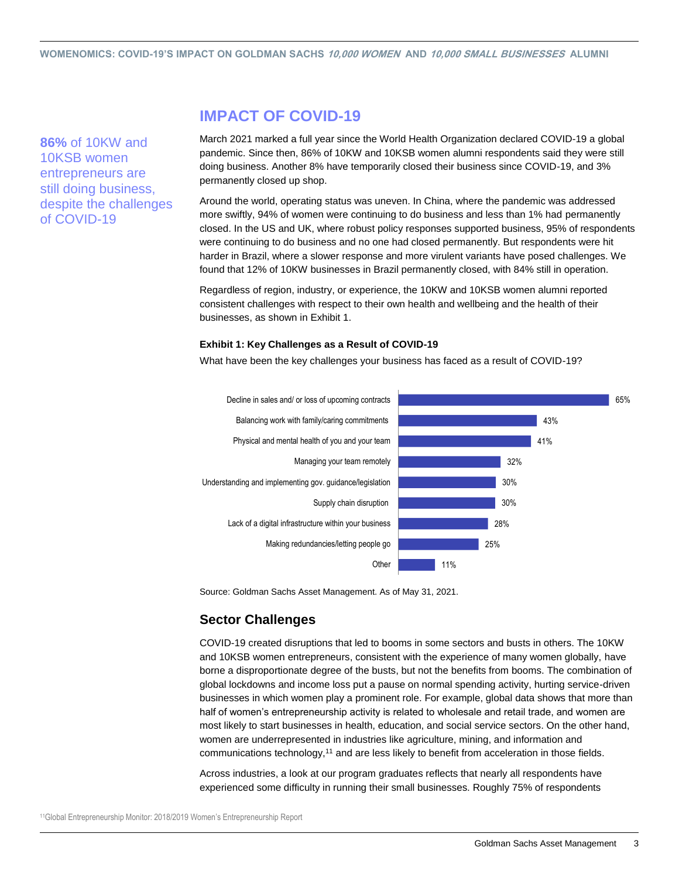**86%** of 10KW and 10KSB women entrepreneurs are still doing business, despite the challenges of COVID-19

# **IMPACT OF COVID-19**

March 2021 marked a full year since the World Health Organization declared COVID-19 a global pandemic. Since then, 86% of 10KW and 10KSB women alumni respondents said they were still doing business. Another 8% have temporarily closed their business since COVID-19, and 3% permanently closed up shop.

Around the world, operating status was uneven. In China, where the pandemic was addressed more swiftly, 94% of women were continuing to do business and less than 1% had permanently closed. In the US and UK, where robust policy responses supported business, 95% of respondents were continuing to do business and no one had closed permanently. But respondents were hit harder in Brazil, where a slower response and more virulent variants have posed challenges. We found that 12% of 10KW businesses in Brazil permanently closed, with 84% still in operation.

Regardless of region, industry, or experience, the 10KW and 10KSB women alumni reported consistent challenges with respect to their own health and wellbeing and the health of their businesses, as shown in Exhibit 1.

#### **Exhibit 1: Key Challenges as a Result of COVID-19**

What have been the key challenges your business has faced as a result of COVID-19?



Source: Goldman Sachs Asset Management. As of May 31, 2021.

### **Sector Challenges**

COVID-19 created disruptions that led to booms in some sectors and busts in others. The 10KW and 10KSB women entrepreneurs, consistent with the experience of many women globally, have borne a disproportionate degree of the busts, but not the benefits from booms. The combination of global lockdowns and income loss put a pause on normal spending activity, hurting service-driven businesses in which women play a prominent role. For example, global data shows that more than half of women's entrepreneurship activity is related to wholesale and retail trade, and women are most likely to start businesses in health, education, and social service sectors. On the other hand, women are underrepresented in industries like agriculture, mining, and information and communications technology,<sup>11</sup> and are less likely to benefit from acceleration in those fields.

Across industries, a look at our program graduates reflects that nearly all respondents have experienced some difficulty in running their small businesses. Roughly 75% of respondents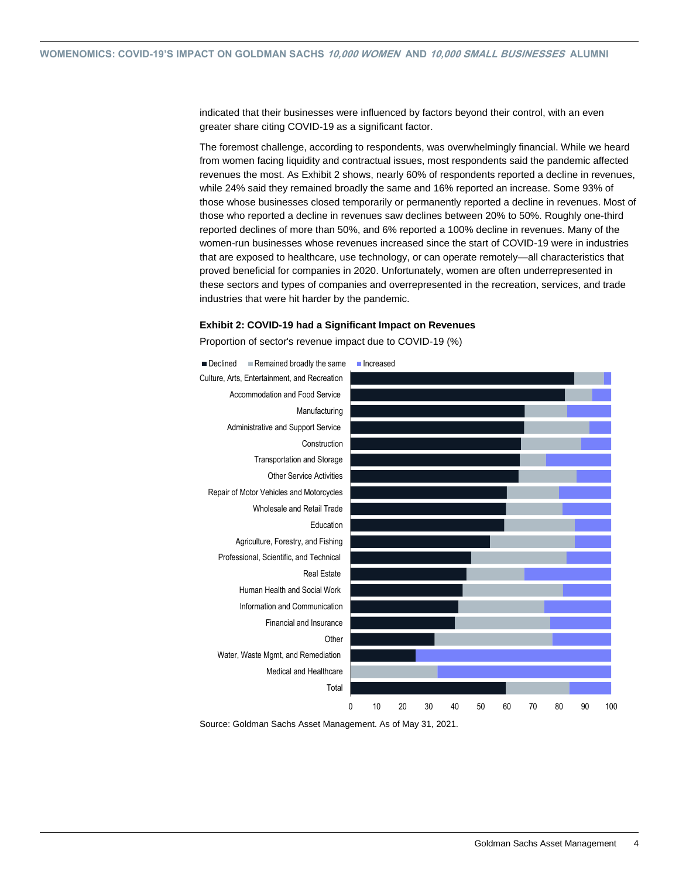indicated that their businesses were influenced by factors beyond their control, with an even greater share citing COVID-19 as a significant factor.

The foremost challenge, according to respondents, was overwhelmingly financial. While we heard from women facing liquidity and contractual issues, most respondents said the pandemic affected revenues the most. As Exhibit 2 shows, nearly 60% of respondents reported a decline in revenues, while 24% said they remained broadly the same and 16% reported an increase. Some 93% of those whose businesses closed temporarily or permanently reported a decline in revenues. Most of those who reported a decline in revenues saw declines between 20% to 50%. Roughly one-third reported declines of more than 50%, and 6% reported a 100% decline in revenues. Many of the women-run businesses whose revenues increased since the start of COVID-19 were in industries that are exposed to healthcare, use technology, or can operate remotely—all characteristics that proved beneficial for companies in 2020. Unfortunately, women are often underrepresented in these sectors and types of companies and overrepresented in the recreation, services, and trade industries that were hit harder by the pandemic.

### Proportion of sector's revenue impact due to COVID-19 (%)

**Exhibit 2: COVID-19 had a Significant Impact on Revenues**



Source: Goldman Sachs Asset Management. As of May 31, 2021.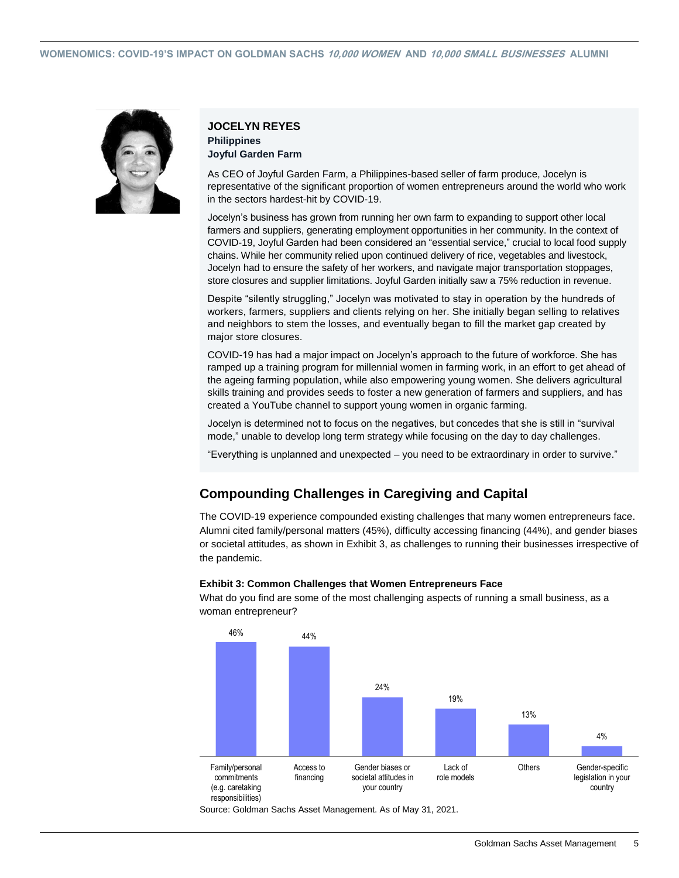#### **WOMENOMICS: COVID-19'S IMPACT ON GOLDMAN SACHS 10,000 WOMEN AND 10,000 SMALL BUSINESSES ALUMNI**



#### **JOCELYN REYES Philippines Joyful Garden Farm**

As CEO of Joyful Garden Farm, a Philippines-based seller of farm produce, Jocelyn is representative of the significant proportion of women entrepreneurs around the world who work in the sectors hardest-hit by COVID-19.

Jocelyn's business has grown from running her own farm to expanding to support other local farmers and suppliers, generating employment opportunities in her community. In the context of COVID-19, Joyful Garden had been considered an "essential service," crucial to local food supply chains. While her community relied upon continued delivery of rice, vegetables and livestock, Jocelyn had to ensure the safety of her workers, and navigate major transportation stoppages, store closures and supplier limitations. Joyful Garden initially saw a 75% reduction in revenue.

Despite "silently struggling," Jocelyn was motivated to stay in operation by the hundreds of workers, farmers, suppliers and clients relying on her. She initially began selling to relatives and neighbors to stem the losses, and eventually began to fill the market gap created by major store closures.

COVID-19 has had a major impact on Jocelyn's approach to the future of workforce. She has ramped up a training program for millennial women in farming work, in an effort to get ahead of the ageing farming population, while also empowering young women. She delivers agricultural skills training and provides seeds to foster a new generation of farmers and suppliers, and has created a YouTube channel to support young women in organic farming.

Jocelyn is determined not to focus on the negatives, but concedes that she is still in "survival mode," unable to develop long term strategy while focusing on the day to day challenges.

"Everything is unplanned and unexpected – you need to be extraordinary in order to survive."

# **Compounding Challenges in Caregiving and Capital**

The COVID-19 experience compounded existing challenges that many women entrepreneurs face. Alumni cited family/personal matters (45%), difficulty accessing financing (44%), and gender biases or societal attitudes, as shown in Exhibit 3, as challenges to running their businesses irrespective of the pandemic.

#### **Exhibit 3: Common Challenges that Women Entrepreneurs Face**

What do you find are some of the most challenging aspects of running a small business, as a woman entrepreneur?



Goldman Sachs Asset Management 5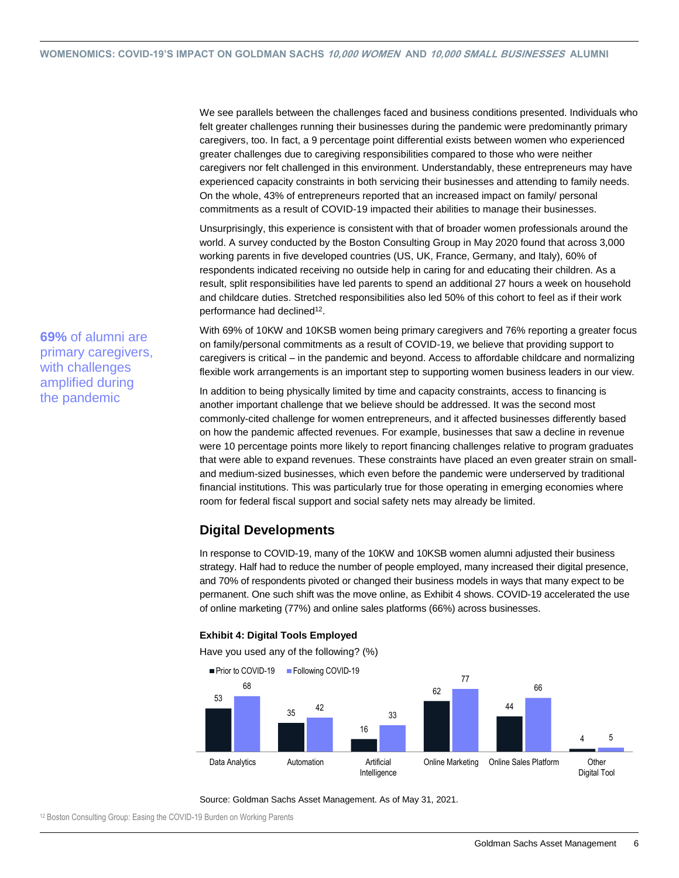We see parallels between the challenges faced and business conditions presented. Individuals who felt greater challenges running their businesses during the pandemic were predominantly primary caregivers, too. In fact, a 9 percentage point differential exists between women who experienced greater challenges due to caregiving responsibilities compared to those who were neither caregivers nor felt challenged in this environment. Understandably, these entrepreneurs may have experienced capacity constraints in both servicing their businesses and attending to family needs. On the whole, 43% of entrepreneurs reported that an increased impact on family/ personal commitments as a result of COVID-19 impacted their abilities to manage their businesses.

Unsurprisingly, this experience is consistent with that of broader women professionals around the world. A survey conducted by the Boston Consulting Group in May 2020 found that across 3,000 working parents in five developed countries (US, UK, France, Germany, and Italy), 60% of respondents indicated receiving no outside help in caring for and educating their children. As a result, split responsibilities have led parents to spend an additional 27 hours a week on household and childcare duties. Stretched responsibilities also led 50% of this cohort to feel as if their work performance had declined<sup>12</sup>.

With 69% of 10KW and 10KSB women being primary caregivers and 76% reporting a greater focus on family/personal commitments as a result of COVID-19, we believe that providing support to caregivers is critical – in the pandemic and beyond. Access to affordable childcare and normalizing flexible work arrangements is an important step to supporting women business leaders in our view.

In addition to being physically limited by time and capacity constraints, access to financing is another important challenge that we believe should be addressed. It was the second most commonly-cited challenge for women entrepreneurs, and it affected businesses differently based on how the pandemic affected revenues. For example, businesses that saw a decline in revenue were 10 percentage points more likely to report financing challenges relative to program graduates that were able to expand revenues. These constraints have placed an even greater strain on smalland medium-sized businesses, which even before the pandemic were underserved by traditional financial institutions. This was particularly true for those operating in emerging economies where room for federal fiscal support and social safety nets may already be limited.

# **Digital Developments**

In response to COVID-19, many of the 10KW and 10KSB women alumni adjusted their business strategy. Half had to reduce the number of people employed, many increased their digital presence, and 70% of respondents pivoted or changed their business models in ways that many expect to be permanent. One such shift was the move online, as Exhibit 4 shows. COVID-19 accelerated the use of online marketing (77%) and online sales platforms (66%) across businesses.

#### **Exhibit 4: Digital Tools Employed**

Have you used any of the following? (%)



Source: Goldman Sachs Asset Management. As of May 31, 2021.

12 Boston Consulting Group: Easing the COVID-19 Burden on Working Parents

**69%** of alumni are primary caregivers, with challenges amplified during the pandemic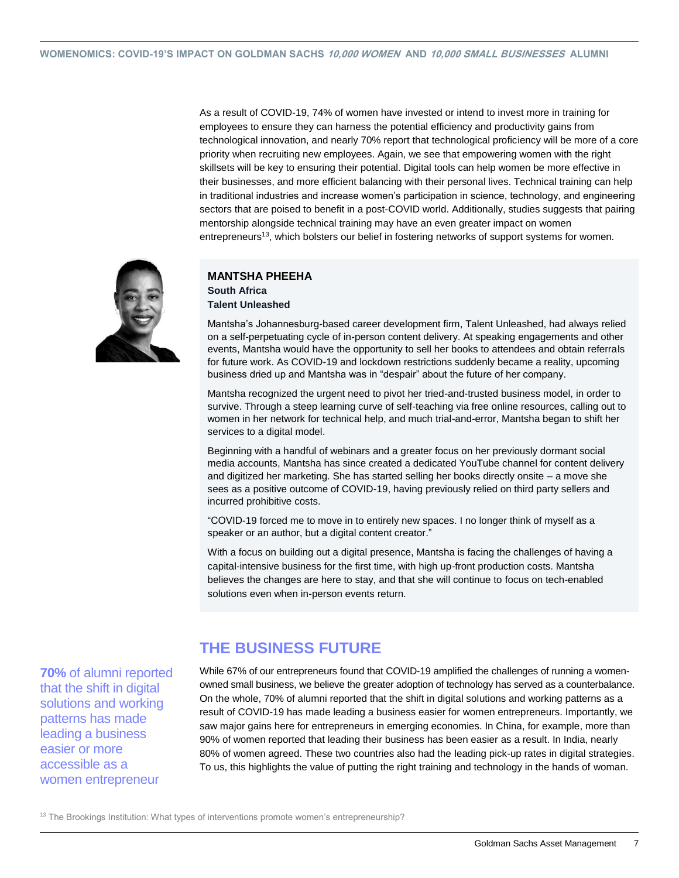As a result of COVID-19, 74% of women have invested or intend to invest more in training for employees to ensure they can harness the potential efficiency and productivity gains from technological innovation, and nearly 70% report that technological proficiency will be more of a core priority when recruiting new employees. Again, we see that empowering women with the right skillsets will be key to ensuring their potential. Digital tools can help women be more effective in their businesses, and more efficient balancing with their personal lives. Technical training can help in traditional industries and increase women's participation in science, technology, and engineering sectors that are poised to benefit in a post-COVID world. Additionally, studies suggests that pairing mentorship alongside technical training may have an even greater impact on women entrepreneurs<sup>13</sup>, which bolsters our belief in fostering networks of support systems for women.



### **MANTSHA PHEEHA South Africa Talent Unleashed**

Mantsha's Johannesburg-based career development firm, Talent Unleashed, had always relied on a self-perpetuating cycle of in-person content delivery. At speaking engagements and other events, Mantsha would have the opportunity to sell her books to attendees and obtain referrals for future work. As COVID-19 and lockdown restrictions suddenly became a reality, upcoming business dried up and Mantsha was in "despair" about the future of her company.

Mantsha recognized the urgent need to pivot her tried-and-trusted business model, in order to survive. Through a steep learning curve of self-teaching via free online resources, calling out to women in her network for technical help, and much trial-and-error, Mantsha began to shift her services to a digital model.

Beginning with a handful of webinars and a greater focus on her previously dormant social media accounts, Mantsha has since created a dedicated YouTube channel for content delivery and digitized her marketing. She has started selling her books directly onsite – a move she sees as a positive outcome of COVID-19, having previously relied on third party sellers and incurred prohibitive costs.

"COVID-19 forced me to move in to entirely new spaces. I no longer think of myself as a speaker or an author, but a digital content creator."

With a focus on building out a digital presence, Mantsha is facing the challenges of having a capital-intensive business for the first time, with high up-front production costs. Mantsha believes the changes are here to stay, and that she will continue to focus on tech-enabled solutions even when in-person events return.

# **THE BUSINESS FUTURE**

While 67% of our entrepreneurs found that COVID-19 amplified the challenges of running a womenowned small business, we believe the greater adoption of technology has served as a counterbalance. On the whole, 70% of alumni reported that the shift in digital solutions and working patterns as a result of COVID-19 has made leading a business easier for women entrepreneurs. Importantly, we saw major gains here for entrepreneurs in emerging economies. In China, for example, more than 90% of women reported that leading their business has been easier as a result. In India, nearly 80% of women agreed. These two countries also had the leading pick-up rates in digital strategies. To us, this highlights the value of putting the right training and technology in the hands of woman.

**70%** of alumni reported that the shift in digital solutions and working patterns has made leading a business easier or more accessible as a women entrepreneur

 $13$  The Brookings Institution: What types of interventions promote women's entrepreneurship?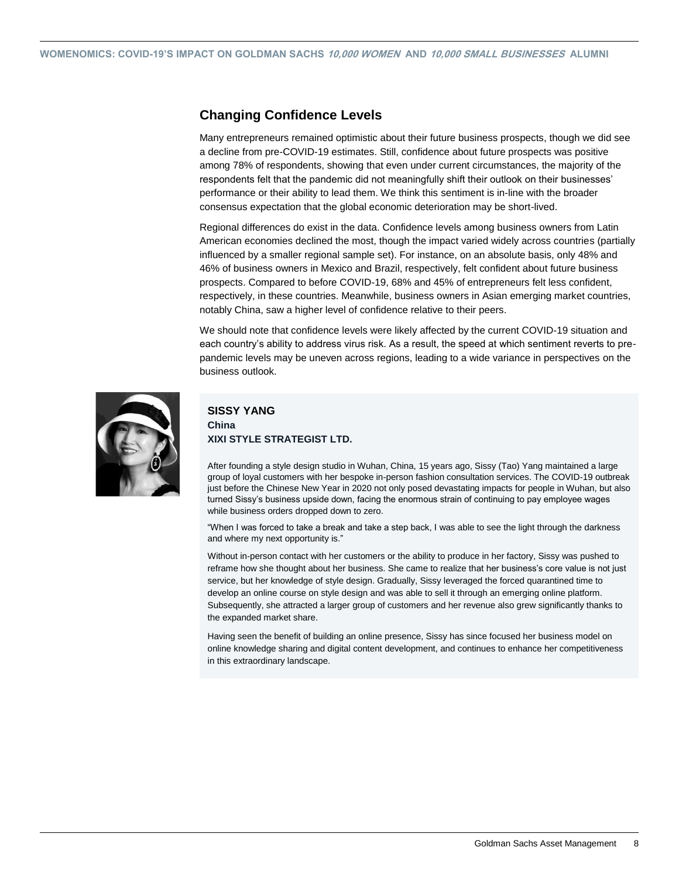## **Changing Confidence Levels**

Many entrepreneurs remained optimistic about their future business prospects, though we did see a decline from pre-COVID-19 estimates. Still, confidence about future prospects was positive among 78% of respondents, showing that even under current circumstances, the majority of the respondents felt that the pandemic did not meaningfully shift their outlook on their businesses' performance or their ability to lead them. We think this sentiment is in-line with the broader consensus expectation that the global economic deterioration may be short-lived.

Regional differences do exist in the data. Confidence levels among business owners from Latin American economies declined the most, though the impact varied widely across countries (partially influenced by a smaller regional sample set). For instance, on an absolute basis, only 48% and 46% of business owners in Mexico and Brazil, respectively, felt confident about future business prospects. Compared to before COVID-19, 68% and 45% of entrepreneurs felt less confident, respectively, in these countries. Meanwhile, business owners in Asian emerging market countries, notably China, saw a higher level of confidence relative to their peers.

We should note that confidence levels were likely affected by the current COVID-19 situation and each country's ability to address virus risk. As a result, the speed at which sentiment reverts to prepandemic levels may be uneven across regions, leading to a wide variance in perspectives on the business outlook.



#### **SISSY YANG China XIXI STYLE STRATEGIST LTD.**

After founding a style design studio in Wuhan, China, 15 years ago, Sissy (Tao) Yang maintained a large group of loyal customers with her bespoke in-person fashion consultation services. The COVID-19 outbreak just before the Chinese New Year in 2020 not only posed devastating impacts for people in Wuhan, but also turned Sissy's business upside down, facing the enormous strain of continuing to pay employee wages while business orders dropped down to zero.

"When I was forced to take a break and take a step back, I was able to see the light through the darkness and where my next opportunity is."

Without in-person contact with her customers or the ability to produce in her factory, Sissy was pushed to reframe how she thought about her business. She came to realize that her business's core value is not just service, but her knowledge of style design. Gradually, Sissy leveraged the forced quarantined time to develop an online course on style design and was able to sell it through an emerging online platform. Subsequently, she attracted a larger group of customers and her revenue also grew significantly thanks to the expanded market share.

Having seen the benefit of building an online presence, Sissy has since focused her business model on online knowledge sharing and digital content development, and continues to enhance her competitiveness in this extraordinary landscape.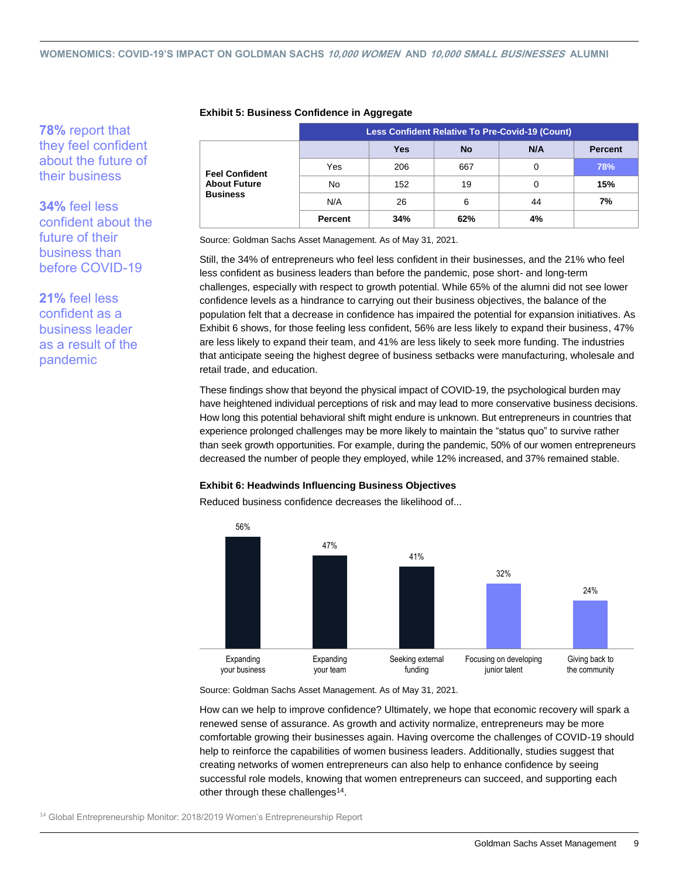**78%** report that they feel confident about the future of their business

**34%** feel less confident about the future of their business than before COVID-19

**21%** feel less confident as a business leader as a result of the pandemic

#### **Exhibit 5: Business Confidence in Aggregate**

|                                                                 | <b>Less Confident Relative To Pre-Covid-19 (Count)</b> |            |     |            |                |
|-----------------------------------------------------------------|--------------------------------------------------------|------------|-----|------------|----------------|
| <b>Feel Confident</b><br><b>About Future</b><br><b>Business</b> |                                                        | <b>Yes</b> | No  | <b>N/A</b> | <b>Percent</b> |
|                                                                 | Yes                                                    | 206        | 667 | 0          | 78%            |
|                                                                 | No                                                     | 152        | 19  | 0          | 15%            |
|                                                                 | N/A                                                    | 26         | 6   | 44         | 7%             |
|                                                                 | Percent                                                | 34%        | 62% | 4%         |                |

Source: Goldman Sachs Asset Management. As of May 31, 2021.

Still, the 34% of entrepreneurs who feel less confident in their businesses, and the 21% who feel less confident as business leaders than before the pandemic, pose short- and long-term challenges, especially with respect to growth potential. While 65% of the alumni did not see lower confidence levels as a hindrance to carrying out their business objectives, the balance of the population felt that a decrease in confidence has impaired the potential for expansion initiatives. As Exhibit 6 shows, for those feeling less confident, 56% are less likely to expand their business, 47% are less likely to expand their team, and 41% are less likely to seek more funding. The industries that anticipate seeing the highest degree of business setbacks were manufacturing, wholesale and retail trade, and education.

These findings show that beyond the physical impact of COVID-19, the psychological burden may have heightened individual perceptions of risk and may lead to more conservative business decisions. How long this potential behavioral shift might endure is unknown. But entrepreneurs in countries that experience prolonged challenges may be more likely to maintain the "status quo" to survive rather than seek growth opportunities. For example, during the pandemic, 50% of our women entrepreneurs decreased the number of people they employed, while 12% increased, and 37% remained stable.

#### **Exhibit 6: Headwinds Influencing Business Objectives**



Reduced business confidence decreases the likelihood of...

Source: Goldman Sachs Asset Management. As of May 31, 2021.

How can we help to improve confidence? Ultimately, we hope that economic recovery will spark a renewed sense of assurance. As growth and activity normalize, entrepreneurs may be more comfortable growing their businesses again. Having overcome the challenges of COVID-19 should help to reinforce the capabilities of women business leaders. Additionally, studies suggest that creating networks of women entrepreneurs can also help to enhance confidence by seeing successful role models, knowing that women entrepreneurs can succeed, and supporting each other through these challenges<sup>14</sup>.

<sup>14</sup> Global Entrepreneurship Monitor: 2018/2019 Women's Entrepreneurship Report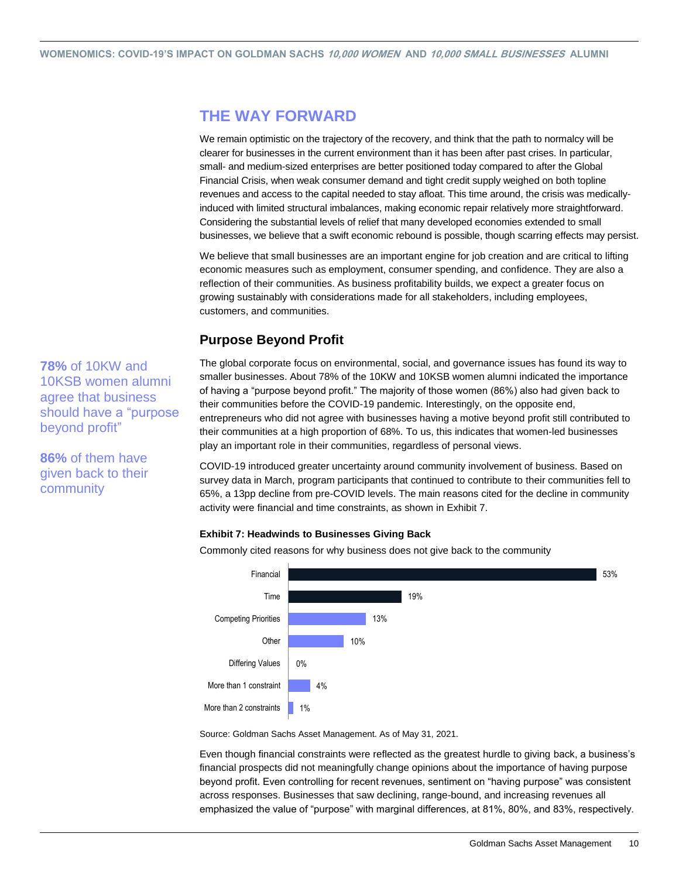# **THE WAY FORWARD**

We remain optimistic on the trajectory of the recovery, and think that the path to normalcy will be clearer for businesses in the current environment than it has been after past crises. In particular, small- and medium-sized enterprises are better positioned today compared to after the Global Financial Crisis, when weak consumer demand and tight credit supply weighed on both topline revenues and access to the capital needed to stay afloat. This time around, the crisis was medicallyinduced with limited structural imbalances, making economic repair relatively more straightforward. Considering the substantial levels of relief that many developed economies extended to small businesses, we believe that a swift economic rebound is possible, though scarring effects may persist.

We believe that small businesses are an important engine for job creation and are critical to lifting economic measures such as employment, consumer spending, and confidence. They are also a reflection of their communities. As business profitability builds, we expect a greater focus on growing sustainably with considerations made for all stakeholders, including employees, customers, and communities.

# **Purpose Beyond Profit**

The global corporate focus on environmental, social, and governance issues has found its way to smaller businesses. About 78% of the 10KW and 10KSB women alumni indicated the importance of having a "purpose beyond profit." The majority of those women (86%) also had given back to their communities before the COVID-19 pandemic. Interestingly, on the opposite end, entrepreneurs who did not agree with businesses having a motive beyond profit still contributed to their communities at a high proportion of 68%. To us, this indicates that women-led businesses play an important role in their communities, regardless of personal views.

COVID-19 introduced greater uncertainty around community involvement of business. Based on survey data in March, program participants that continued to contribute to their communities fell to 65%, a 13pp decline from pre-COVID levels. The main reasons cited for the decline in community activity were financial and time constraints, as shown in Exhibit 7.

#### **Exhibit 7: Headwinds to Businesses Giving Back**

Commonly cited reasons for why business does not give back to the community



Source: Goldman Sachs Asset Management. As of May 31, 2021.

Even though financial constraints were reflected as the greatest hurdle to giving back, a business's financial prospects did not meaningfully change opinions about the importance of having purpose beyond profit. Even controlling for recent revenues, sentiment on "having purpose" was consistent across responses. Businesses that saw declining, range-bound, and increasing revenues all emphasized the value of "purpose" with marginal differences, at 81%, 80%, and 83%, respectively.

**78%** of 10KW and 10KSB women alumni agree that business should have a "purpose beyond profit"

**86%** of them have given back to their community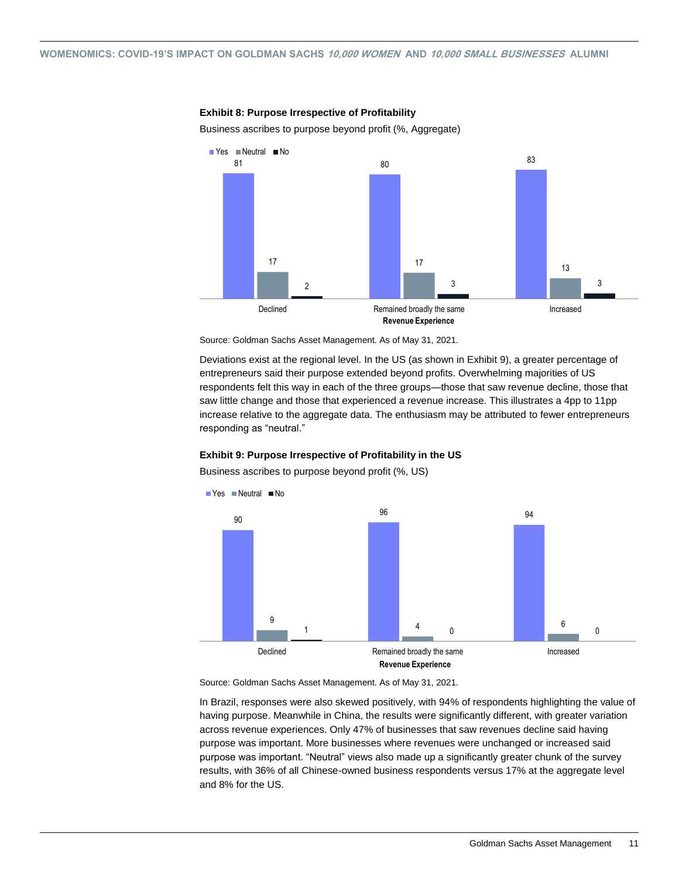

#### **Exhibit 8: Purpose Irrespective of Profitability**

Business ascribes to purpose beyond profit (%, Aggregate)

Source: Goldman Sachs Asset Management. As of May 31, 2021.

Deviations exist at the regional level. In the US (as shown in Exhibit 9), a greater percentage of entrepreneurs said their purpose extended beyond profits. Overwhelming majorities of US respondents felt this way in each of the three groups—those that saw revenue decline, those that saw little change and those that experienced a revenue increase. This illustrates a 4pp to 11pp increase relative to the aggregate data. The enthusiasm may be attributed to fewer entrepreneurs responding as "neutral."

#### **Exhibit 9: Purpose Irrespective of Profitability in the US**

Business ascribes to purpose beyond profit (%, US)



 $Yes$  Neutral No

Source: Goldman Sachs Asset Management. As of May 31, 2021.

In Brazil, responses were also skewed positively, with 94% of respondents highlighting the value of having purpose. Meanwhile in China, the results were significantly different, with greater variation across revenue experiences. Only 47% of businesses that saw revenues decline said having purpose was important. More businesses where revenues were unchanged or increased said purpose was important. "Neutral" views also made up a significantly greater chunk of the survey results, with 36% of all Chinese-owned business respondents versus 17% at the aggregate level and 8% for the US.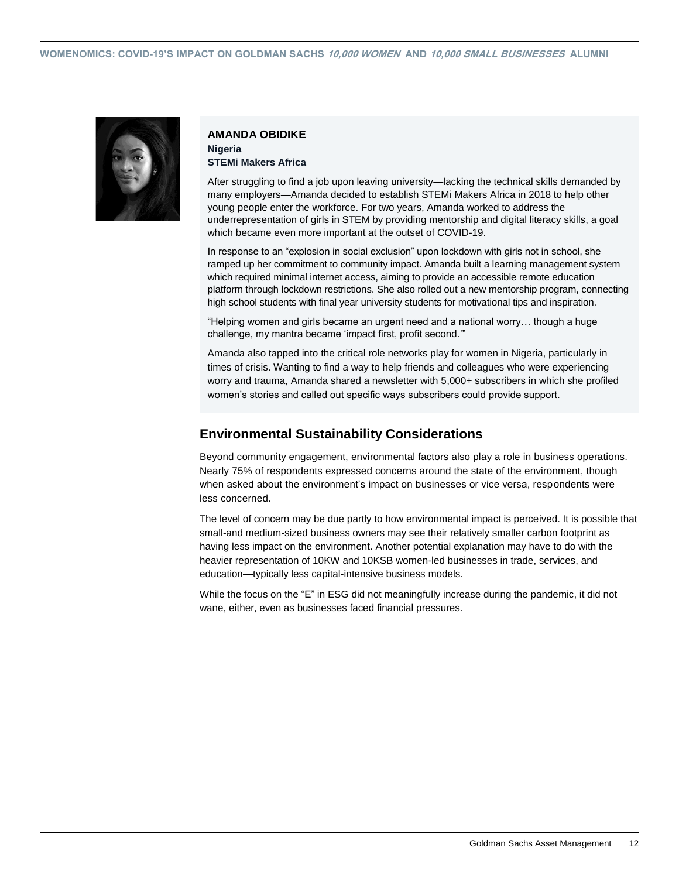#### **WOMENOMICS: COVID-19'S IMPACT ON GOLDMAN SACHS 10,000 WOMEN AND 10,000 SMALL BUSINESSES ALUMNI**



### **AMANDA OBIDIKE Nigeria STEMi Makers Africa**

After struggling to find a job upon leaving university—lacking the technical skills demanded by many employers—Amanda decided to establish STEMi Makers Africa in 2018 to help other young people enter the workforce. For two years, Amanda worked to address the underrepresentation of girls in STEM by providing mentorship and digital literacy skills, a goal which became even more important at the outset of COVID-19.

In response to an "explosion in social exclusion" upon lockdown with girls not in school, she ramped up her commitment to community impact. Amanda built a learning management system which required minimal internet access, aiming to provide an accessible remote education platform through lockdown restrictions. She also rolled out a new mentorship program, connecting high school students with final year university students for motivational tips and inspiration.

"Helping women and girls became an urgent need and a national worry… though a huge challenge, my mantra became 'impact first, profit second.'"

Amanda also tapped into the critical role networks play for women in Nigeria, particularly in times of crisis. Wanting to find a way to help friends and colleagues who were experiencing worry and trauma, Amanda shared a newsletter with 5,000+ subscribers in which she profiled women's stories and called out specific ways subscribers could provide support.

## **Environmental Sustainability Considerations**

Beyond community engagement, environmental factors also play a role in business operations. Nearly 75% of respondents expressed concerns around the state of the environment, though when asked about the environment's impact on businesses or vice versa, respondents were less concerned.

The level of concern may be due partly to how environmental impact is perceived. It is possible that small-and medium-sized business owners may see their relatively smaller carbon footprint as having less impact on the environment. Another potential explanation may have to do with the heavier representation of 10KW and 10KSB women-led businesses in trade, services, and education—typically less capital-intensive business models.

While the focus on the "E" in ESG did not meaningfully increase during the pandemic, it did not wane, either, even as businesses faced financial pressures.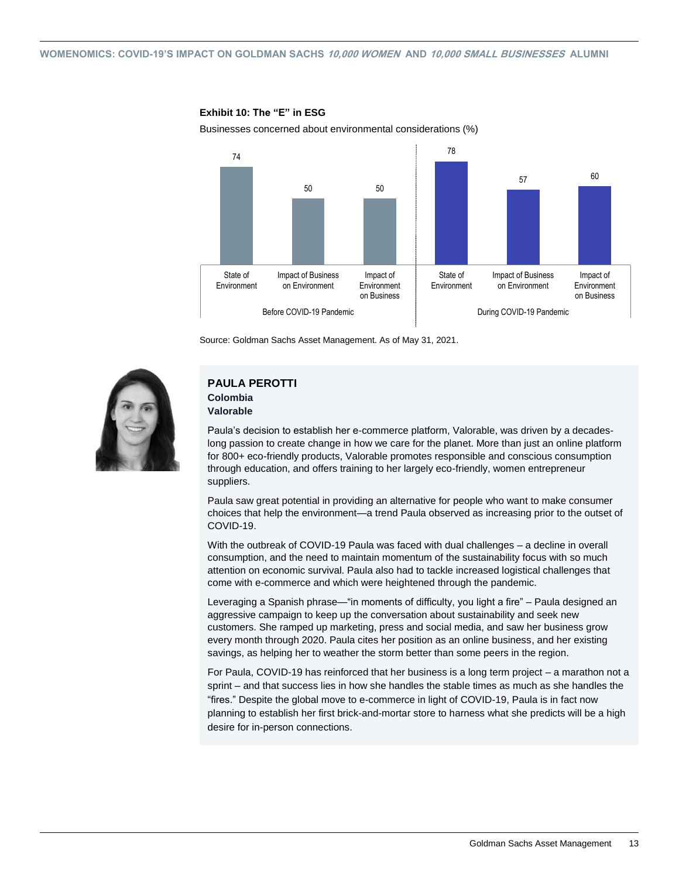#### **Exhibit 10: The "E" in ESG**

Businesses concerned about environmental considerations (%)



Source: Goldman Sachs Asset Management. As of May 31, 2021.



# **PAULA PEROTTI Colombia**

**Valorable**

Paula's decision to establish her e-commerce platform, Valorable, was driven by a decadeslong passion to create change in how we care for the planet. More than just an online platform for 800+ eco-friendly products, Valorable promotes responsible and conscious consumption through education, and offers training to her largely eco-friendly, women entrepreneur suppliers.

Paula saw great potential in providing an alternative for people who want to make consumer choices that help the environment—a trend Paula observed as increasing prior to the outset of COVID-19.

With the outbreak of COVID-19 Paula was faced with dual challenges – a decline in overall consumption, and the need to maintain momentum of the sustainability focus with so much attention on economic survival. Paula also had to tackle increased logistical challenges that come with e-commerce and which were heightened through the pandemic.

Leveraging a Spanish phrase—"in moments of difficulty, you light a fire" – Paula designed an aggressive campaign to keep up the conversation about sustainability and seek new customers. She ramped up marketing, press and social media, and saw her business grow every month through 2020. Paula cites her position as an online business, and her existing savings, as helping her to weather the storm better than some peers in the region.

For Paula, COVID-19 has reinforced that her business is a long term project – a marathon not a sprint – and that success lies in how she handles the stable times as much as she handles the "fires." Despite the global move to e-commerce in light of COVID-19, Paula is in fact now planning to establish her first brick-and-mortar store to harness what she predicts will be a high desire for in-person connections.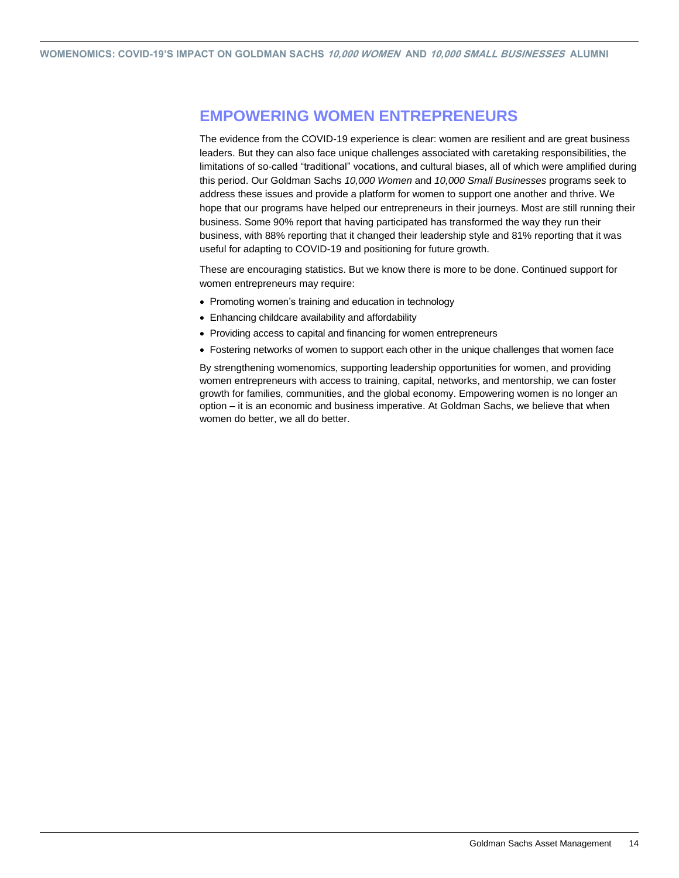# **EMPOWERING WOMEN ENTREPRENEURS**

The evidence from the COVID-19 experience is clear: women are resilient and are great business leaders. But they can also face unique challenges associated with caretaking responsibilities, the limitations of so-called "traditional" vocations, and cultural biases, all of which were amplified during this period. Our Goldman Sachs *10,000 Women* and *10,000 Small Businesses* programs seek to address these issues and provide a platform for women to support one another and thrive. We hope that our programs have helped our entrepreneurs in their journeys. Most are still running their business. Some 90% report that having participated has transformed the way they run their business, with 88% reporting that it changed their leadership style and 81% reporting that it was useful for adapting to COVID-19 and positioning for future growth.

These are encouraging statistics. But we know there is more to be done. Continued support for women entrepreneurs may require:

- Promoting women's training and education in technology
- Enhancing childcare availability and affordability
- Providing access to capital and financing for women entrepreneurs
- Fostering networks of women to support each other in the unique challenges that women face

By strengthening womenomics, supporting leadership opportunities for women, and providing women entrepreneurs with access to training, capital, networks, and mentorship, we can foster growth for families, communities, and the global economy. Empowering women is no longer an option – it is an economic and business imperative. At Goldman Sachs, we believe that when women do better, we all do better.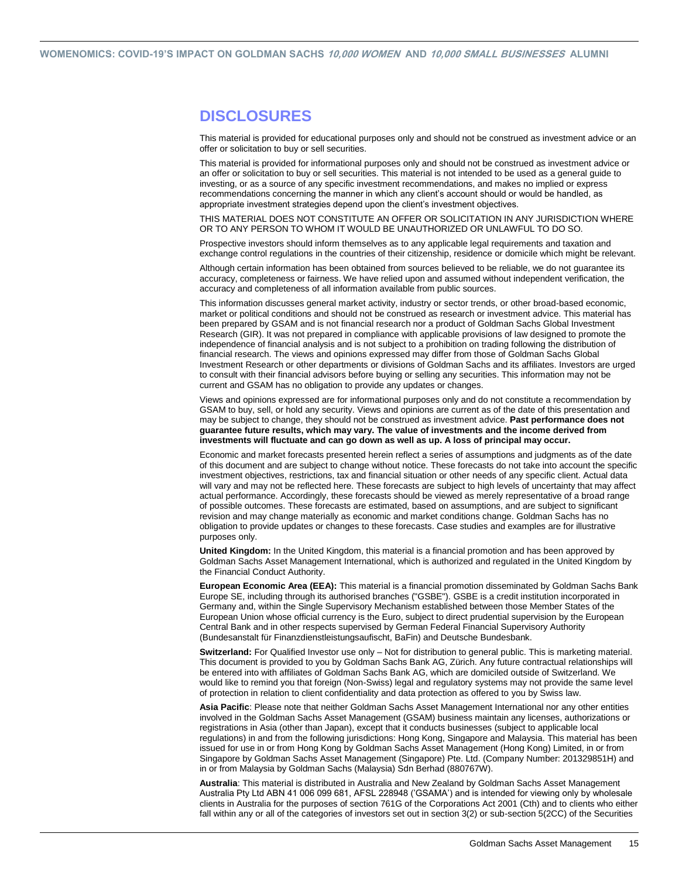### **DISCLOSURES**

This material is provided for educational purposes only and should not be construed as investment advice or an offer or solicitation to buy or sell securities.

This material is provided for informational purposes only and should not be construed as investment advice or an offer or solicitation to buy or sell securities. This material is not intended to be used as a general guide to investing, or as a source of any specific investment recommendations, and makes no implied or express recommendations concerning the manner in which any client's account should or would be handled, as appropriate investment strategies depend upon the client's investment objectives.

THIS MATERIAL DOES NOT CONSTITUTE AN OFFER OR SOLICITATION IN ANY JURISDICTION WHERE OR TO ANY PERSON TO WHOM IT WOULD BE UNAUTHORIZED OR UNLAWFUL TO DO SO.

Prospective investors should inform themselves as to any applicable legal requirements and taxation and exchange control regulations in the countries of their citizenship, residence or domicile which might be relevant.

Although certain information has been obtained from sources believed to be reliable, we do not guarantee its accuracy, completeness or fairness. We have relied upon and assumed without independent verification, the accuracy and completeness of all information available from public sources.

This information discusses general market activity, industry or sector trends, or other broad-based economic, market or political conditions and should not be construed as research or investment advice. This material has been prepared by GSAM and is not financial research nor a product of Goldman Sachs Global Investment Research (GIR). It was not prepared in compliance with applicable provisions of law designed to promote the independence of financial analysis and is not subject to a prohibition on trading following the distribution of financial research. The views and opinions expressed may differ from those of Goldman Sachs Global Investment Research or other departments or divisions of Goldman Sachs and its affiliates. Investors are urged to consult with their financial advisors before buying or selling any securities. This information may not be current and GSAM has no obligation to provide any updates or changes.

Views and opinions expressed are for informational purposes only and do not constitute a recommendation by GSAM to buy, sell, or hold any security. Views and opinions are current as of the date of this presentation and may be subject to change, they should not be construed as investment advice. **Past performance does not guarantee future results, which may vary. The value of investments and the income derived from investments will fluctuate and can go down as well as up. A loss of principal may occur.**

Economic and market forecasts presented herein reflect a series of assumptions and judgments as of the date of this document and are subject to change without notice. These forecasts do not take into account the specific investment objectives, restrictions, tax and financial situation or other needs of any specific client. Actual data will vary and may not be reflected here. These forecasts are subject to high levels of uncertainty that may affect actual performance. Accordingly, these forecasts should be viewed as merely representative of a broad range of possible outcomes. These forecasts are estimated, based on assumptions, and are subject to significant revision and may change materially as economic and market conditions change. Goldman Sachs has no obligation to provide updates or changes to these forecasts. Case studies and examples are for illustrative purposes only.

**United Kingdom:** In the United Kingdom, this material is a financial promotion and has been approved by Goldman Sachs Asset Management International, which is authorized and regulated in the United Kingdom by the Financial Conduct Authority.

**European Economic Area (EEA):** This material is a financial promotion disseminated by Goldman Sachs Bank Europe SE, including through its authorised branches ("GSBE"). GSBE is a credit institution incorporated in Germany and, within the Single Supervisory Mechanism established between those Member States of the European Union whose official currency is the Euro, subject to direct prudential supervision by the European Central Bank and in other respects supervised by German Federal Financial Supervisory Authority (Bundesanstalt für Finanzdienstleistungsaufischt, BaFin) and Deutsche Bundesbank.

**Switzerland:** For Qualified Investor use only – Not for distribution to general public. This is marketing material. This document is provided to you by Goldman Sachs Bank AG, Zürich. Any future contractual relationships will be entered into with affiliates of Goldman Sachs Bank AG, which are domiciled outside of Switzerland. We would like to remind you that foreign (Non-Swiss) legal and regulatory systems may not provide the same level of protection in relation to client confidentiality and data protection as offered to you by Swiss law.

**Asia Pacific**: Please note that neither Goldman Sachs Asset Management International nor any other entities involved in the Goldman Sachs Asset Management (GSAM) business maintain any licenses, authorizations or registrations in Asia (other than Japan), except that it conducts businesses (subject to applicable local regulations) in and from the following jurisdictions: Hong Kong, Singapore and Malaysia. This material has been issued for use in or from Hong Kong by Goldman Sachs Asset Management (Hong Kong) Limited, in or from Singapore by Goldman Sachs Asset Management (Singapore) Pte. Ltd. (Company Number: 201329851H) and in or from Malaysia by Goldman Sachs (Malaysia) Sdn Berhad (880767W).

**Australia**: This material is distributed in Australia and New Zealand by Goldman Sachs Asset Management Australia Pty Ltd ABN 41 006 099 681, AFSL 228948 ('GSAMA') and is intended for viewing only by wholesale clients in Australia for the purposes of section 761G of the Corporations Act 2001 (Cth) and to clients who either fall within any or all of the categories of investors set out in section 3(2) or sub-section 5(2CC) of the Securities